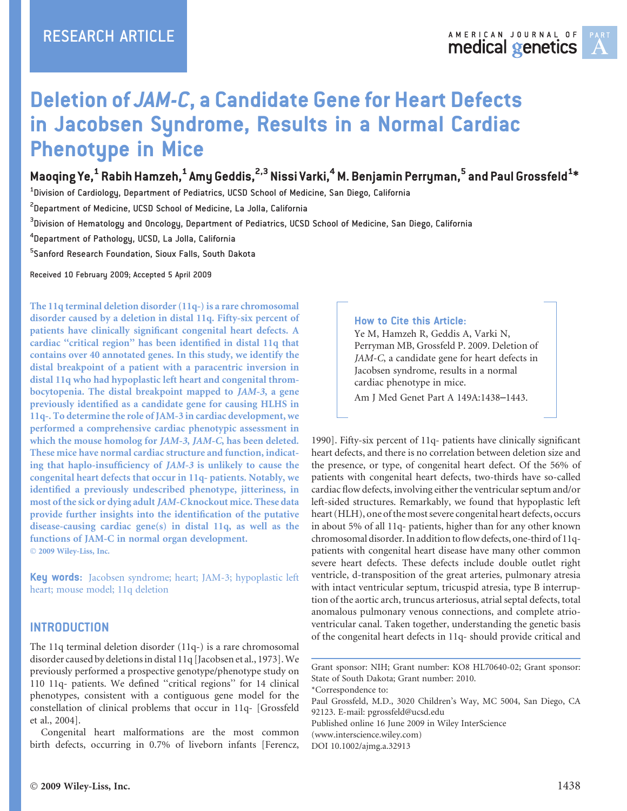

# Deletion of JAM-C, a Candidate Gene for Heart Defects in Jacobsen Syndrome, Results in a Normal Cardiac Phenotype in Mice

## Maoqing Ye, $^{\mathsf{1}}$  Rabih Hamzeh, $^{\mathsf{1}}$  Amy Geddis, $^{2,3}$  Nissi Varki, $^{\mathsf{4}}$  M. Benjamin Perryman, $^{\mathsf{5}}$  and Paul Grossfeld $^{\mathsf{1}\ast}$

 $^{\rm 1}$ Division of Cardiology, Department of Pediatrics, UCSD School of Medicine, San Diego, California

 $^{2}$ Department of Medicine, UCSD School of Medicine, La Jolla, California

 $^3$ Division of Hematology and Oncology, Department of Pediatrics, UCSD School of Medicine, San Diego, California

4 Department of Pathology, UCSD, La Jolla, California

5 Sanford Research Foundation, Sioux Falls, South Dakota

Received 10 February 2009; Accepted 5 April 2009

The 11q terminal deletion disorder (11q-) is a rare chromosomal disorder caused by a deletion in distal 11q. Fifty-six percent of patients have clinically significant congenital heart defects. A cardiac ''critical region'' has been identified in distal 11q that contains over 40 annotated genes. In this study, we identify the distal breakpoint of a patient with a paracentric inversion in distal 11q who had hypoplastic left heart and congenital thrombocytopenia. The distal breakpoint mapped to JAM-3, a gene previously identified as a candidate gene for causing HLHS in 11q-. To determine the role of JAM-3 in cardiac development, we performed a comprehensive cardiac phenotypic assessment in which the mouse homolog for JAM-3, JAM-C, has been deleted. These mice have normal cardiac structure and function, indicating that haplo-insufficiency of JAM-3 is unlikely to cause the congenital heart defects that occur in 11q- patients. Notably, we identified a previously undescribed phenotype, jitteriness, in most of the sick or dying adult JAM-C knockout mice. These data provide further insights into the identification of the putative disease-causing cardiac gene(s) in distal 11q, as well as the functions of JAM-C in normal organ development. © 2009 Wiley-Liss, Inc.

Key words: Jacobsen syndrome; heart; JAM-3; hypoplastic left heart; mouse model; 11q deletion

#### INTRODUCTION

The 11q terminal deletion disorder (11q-) is a rare chromosomal disorder caused by deletionsin distal 11q [Jacobsen et al., 1973].We previously performed a prospective genotype/phenotype study on 110 11q- patients. We defined ''critical regions'' for 14 clinical phenotypes, consistent with a contiguous gene model for the constellation of clinical problems that occur in 11q- [Grossfeld et al., 2004].

Congenital heart malformations are the most common birth defects, occurring in 0.7% of liveborn infants [Ferencz,

#### How to Cite this Article:

Ye M, Hamzeh R, Geddis A, Varki N, Perryman MB, Grossfeld P. 2009. Deletion of JAM-C, a candidate gene for heart defects in Jacobsen syndrome, results in a normal cardiac phenotype in mice.

Am J Med Genet Part A 149A:1438–1443.

1990]. Fifty-six percent of 11q- patients have clinically significant heart defects, and there is no correlation between deletion size and the presence, or type, of congenital heart defect. Of the 56% of patients with congenital heart defects, two-thirds have so-called cardiac flow defects, involving either the ventricular septum and/or left-sided structures. Remarkably, we found that hypoplastic left heart (HLH), one of the most severe congenital heart defects, occurs in about 5% of all 11q- patients, higher than for any other known chromosomal disorder.In addition to flowdefects, one-third of 11qpatients with congenital heart disease have many other common severe heart defects. These defects include double outlet right ventricle, d-transposition of the great arteries, pulmonary atresia with intact ventricular septum, tricuspid atresia, type B interruption of the aortic arch, truncus arteriosus, atrial septal defects, total anomalous pulmonary venous connections, and complete atrioventricular canal. Taken together, understanding the genetic basis of the congenital heart defects in 11q- should provide critical and

\*Correspondence to:

Paul Grossfeld, M.D., 3020 Children's Way, MC 5004, San Diego, CA 92123. E-mail: pgrossfeld@ucsd.edu

Published online 16 June 2009 in Wiley InterScience (www.interscience.wiley.com) DOI 10.1002/ajmg.a.32913

Grant sponsor: NIH; Grant number: KO8 HL70640-02; Grant sponsor: State of South Dakota; Grant number: 2010.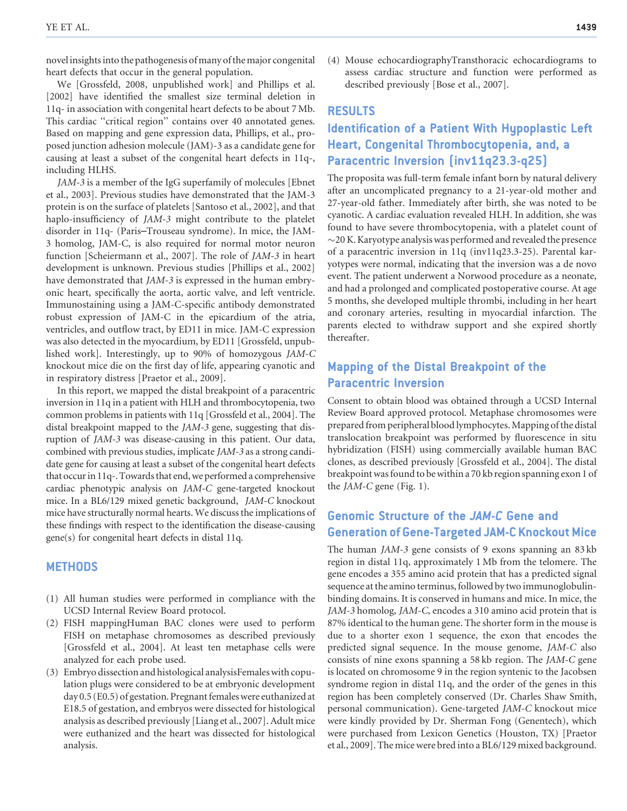novel insights into the pathogenesis of many of the major congenital heart defects that occur in the general population.

We [Grossfeld, 2008, unpublished work] and Phillips et al. [2002] have identified the smallest size terminal deletion in 11q- in association with congenital heart defects to be about 7 Mb. This cardiac ''critical region'' contains over 40 annotated genes. Based on mapping and gene expression data, Phillips, et al., proposed junction adhesion molecule (JAM)-3 as a candidate gene for causing at least a subset of the congenital heart defects in 11q-, including HLHS.

JAM-3 is a member of the IgG superfamily of molecules [Ebnet et al., 2003]. Previous studies have demonstrated that the JAM-3 protein is on the surface of platelets [Santoso et al., 2002], and that haplo-insufficiency of JAM-3 might contribute to the platelet disorder in 11q- (Paris–Trouseau syndrome). In mice, the JAM-3 homolog, JAM-C, is also required for normal motor neuron function [Scheiermann et al., 2007]. The role of JAM-3 in heart development is unknown. Previous studies [Phillips et al., 2002] have demonstrated that *JAM-3* is expressed in the human embryonic heart, specifically the aorta, aortic valve, and left ventricle. Immunostaining using a JAM-C-specific antibody demonstrated robust expression of JAM-C in the epicardium of the atria, ventricles, and outflow tract, by ED11 in mice. JAM-C expression was also detected in the myocardium, by ED11 [Grossfeld, unpublished work]. Interestingly, up to 90% of homozygous JAM-C knockout mice die on the first day of life, appearing cyanotic and in respiratory distress [Praetor et al., 2009].

In this report, we mapped the distal breakpoint of a paracentric inversion in 11q in a patient with HLH and thrombocytopenia, two common problems in patients with 11q [Grossfeld et al., 2004]. The distal breakpoint mapped to the JAM-3 gene, suggesting that disruption of JAM-3 was disease-causing in this patient. Our data, combined with previous studies, implicate JAM-3 as a strong candidate gene for causing at least a subset of the congenital heart defects that occur in 11q-. Towards that end, we performed a comprehensive cardiac phenotypic analysis on JAM-C gene-targeted knockout mice. In a BL6/129 mixed genetic background, JAM-C knockout mice have structurally normal hearts. We discussthe implications of these findings with respect to the identification the disease-causing gene(s) for congenital heart defects in distal 11q.

#### **METHODS**

- (1) All human studies were performed in compliance with the UCSD Internal Review Board protocol.
- (2) FISH mappingHuman BAC clones were used to perform FISH on metaphase chromosomes as described previously [Grossfeld et al., 2004]. At least ten metaphase cells were analyzed for each probe used.
- (3) Embryo dissection and histological analysisFemaleswith copulation plugs were considered to be at embryonic development day 0.5 (E0.5) of gestation. Pregnant females were euthanized at E18.5 of gestation, and embryos were dissected for histological analysis as described previously [Liang et al., 2007]. Adult mice were euthanized and the heart was dissected for histological analysis.

(4) Mouse echocardiographyTransthoracic echocardiograms to assess cardiac structure and function were performed as described previously [Bose et al., 2007].

#### RESULTS

## Identification of a Patient With Hypoplastic Left Heart, Congenital Thrombocytopenia, and, a Paracentric Inversion (inv11q23.3-q25)

The proposita was full-term female infant born by natural delivery after an uncomplicated pregnancy to a 21-year-old mother and 27-year-old father. Immediately after birth, she was noted to be cyanotic. A cardiac evaluation revealed HLH. In addition, she was found to have severe thrombocytopenia, with a platelet count of  $\sim$ 20 K. Karyotype analysis was performed and revealed the presence of a paracentric inversion in 11q (inv11q23.3-25). Parental karyotypes were normal, indicating that the inversion was a de novo event. The patient underwent a Norwood procedure as a neonate, and had a prolonged and complicated postoperative course. At age 5 months, she developed multiple thrombi, including in her heart and coronary arteries, resulting in myocardial infarction. The parents elected to withdraw support and she expired shortly thereafter.

## Mapping of the Distal Breakpoint of the Paracentric Inversion

Consent to obtain blood was obtained through a UCSD Internal Review Board approved protocol. Metaphase chromosomes were prepared from peripheral blood lymphocytes.Mapping ofthe distal translocation breakpoint was performed by fluorescence in situ hybridization (FISH) using commercially available human BAC clones, as described previously [Grossfeld et al., 2004]. The distal breakpointwasfound to bewithin a 70 kb region spanning exon 1 of the JAM-C gene (Fig. 1).

## Genomic Structure of the JAM-C Gene and **Generation of Gene-Targeted JAM-C Knockout Mice**

The human JAM-3 gene consists of 9 exons spanning an 83 kb region in distal 11q, approximately 1 Mb from the telomere. The gene encodes a 355 amino acid protein that has a predicted signal sequence at the amino terminus, followed by two immunoglobulinbinding domains. It is conserved in humans and mice. In mice, the JAM-3 homolog, JAM-C, encodes a 310 amino acid protein that is 87% identical to the human gene. The shorter form in the mouse is due to a shorter exon 1 sequence, the exon that encodes the predicted signal sequence. In the mouse genome, JAM-C also consists of nine exons spanning a 58 kb region. The JAM-C gene is located on chromosome 9 in the region syntenic to the Jacobsen syndrome region in distal 11q, and the order of the genes in this region has been completely conserved (Dr. Charles Shaw Smith, personal communication). Gene-targeted JAM-C knockout mice were kindly provided by Dr. Sherman Fong (Genentech), which were purchased from Lexicon Genetics (Houston, TX) [Praetor et al., 2009]. The micewere bred into a BL6/129 mixed background.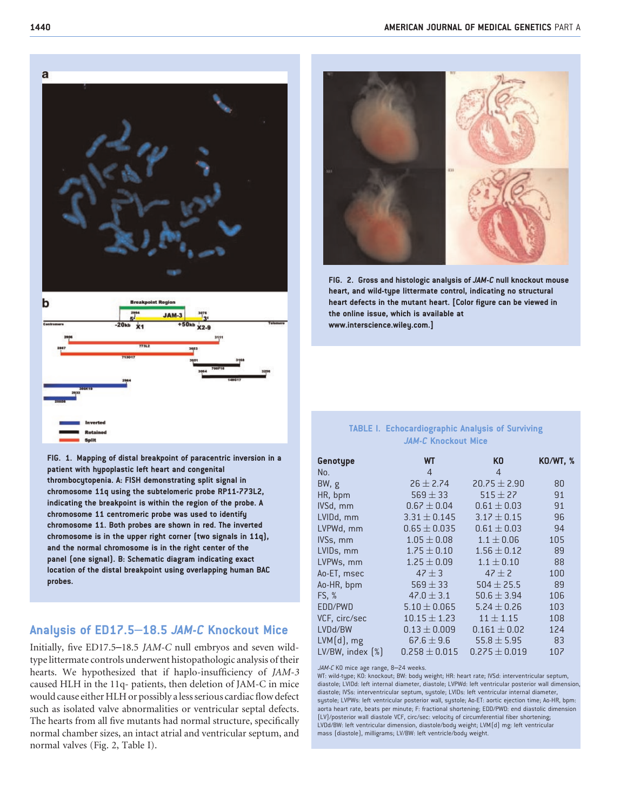



FIG. 1. Mapping of distal breakpoint of paracentric inversion in a patient with hypoplastic left heart and congenital thrombocytopenia. A: FISH demonstrating split signal in chromosome 11q using the subtelomeric probe RP11-773L2, indicating the breakpoint is within the region of the probe. A chromosome 11 centromeric probe was used to identify chromosome 11. Both probes are shown in red. The inverted chromosome is in the upper right corner (two signals in 11q), and the normal chromosome is in the right center of the panel (one signal). B: Schematic diagram indicating exact location of the distal breakpoint using overlapping human BAC probes.

#### Analysis of ED17.5–18.5 JAM-C Knockout Mice

Initially, five ED17.5–18.5 JAM-C null embryos and seven wildtype littermate controls underwent histopathologic analysis of their hearts. We hypothesized that if haplo-insufficiency of JAM-3 caused HLH in the 11q- patients, then deletion of JAM-C in mice would cause either HLH or possibly a less serious cardiac flow defect such as isolated valve abnormalities or ventricular septal defects. The hearts from all five mutants had normal structure, specifically normal chamber sizes, an intact atrial and ventricular septum, and normal valves (Fig. 2, Table I).



FIG. 2. Gross and histologic analysis of JAM-C null knockout mouse heart, and wild-type littermate control, indicating no structural heart defects in the mutant heart. [Color figure can be viewed in the online issue, which is available at www.interscience.wiley.com.]

#### TABLE I. Echocardiographic Analysis of Surviving JAM-C Knockout Mice

| Genotype                        | WТ                | K <sub>0</sub>    | <b>KO/WT, %</b> |
|---------------------------------|-------------------|-------------------|-----------------|
| No.                             | $\overline{4}$    | $\overline{4}$    |                 |
| BW, g                           | $26 \pm 2.74$     | $20.75 \pm 2.90$  | 80              |
| HR, bpm                         | $569 \pm 33$      | $515 + 27$        | 91              |
| IVSd, mm                        | $0.67 \pm 0.04$   | $0.61 \pm 0.03$   | 91              |
| LVIDd, mm                       | $3.31 \pm 0.145$  | $3.17 \pm 0.15$   | 96              |
| LVPWd, mm                       | $0.65 \pm 0.035$  | $0.61 \pm 0.03$   | 94              |
| IVSs, mm                        | $1.05 \pm 0.08$   | $1.1 \pm 0.06$    | 105             |
| LVID <sub>s</sub> , mm          | $1.75 \pm 0.10$   | $1.56 \pm 0.12$   | 89              |
| LVPWs, mm                       | $1.25 \pm 0.09$   | $1.1 \pm 0.10$    | 88              |
| Ao-ET, msec                     | $47 + 3$          | $47 + 2$          | 100             |
| Ao-HR, bpm                      | $569 \pm 33$      | $504 \pm 25.5$    | 89              |
| <b>FS, %</b>                    | $47.0 \pm 3.1$    | $50.6 \pm 3.94$   | 106             |
| EDD/PWD                         | $5.10 \pm 0.065$  | $5.24 \pm 0.26$   | 103             |
| VCF, circ/sec                   | $10.15 \pm 1.23$  | $11 \pm 1.15$     | 108             |
| LVDd/BW                         | $0.13 \pm 0.009$  | $0.161 \pm 0.02$  | 124             |
| $LVM(d)$ , mg                   | $67.6 \pm 9.6$    | $55.8 \pm 5.95$   | 83              |
| LV/BW, index $\left[\% \right]$ | $0.258 \pm 0.015$ | $0.275 \pm 0.019$ | 107             |

JAM-C KO mice age range, 8-24 weeks.

WT: wild-type; KO: knockout; BW: body weight; HR: heart rate; IVSd: interventricular septum, diastole; LVIDd: left internal diameter, diastole; LVPWd: left ventricular posterior wall dimension, diastole; IVSs: interventricular septum, systole; LVIDs: left ventricular internal diameter, systole; LVPWs: left ventricular posterior wall, systole; Ao-ET: aortic ejection time; Ao-HR, bpm: aorta heart rate, beats per minute; F: fractional shortening; EDD/PWD: end diastolic dimension (LV)/posterior wall diastole VCF, circ/sec: velocity of circumferential fiber shortening; LVDd/BW: left ventricular dimension, diastole/body weight; LVM(d) mg: left ventricular mass (diastole), milligrams; LV/BW: left ventricle/body weight.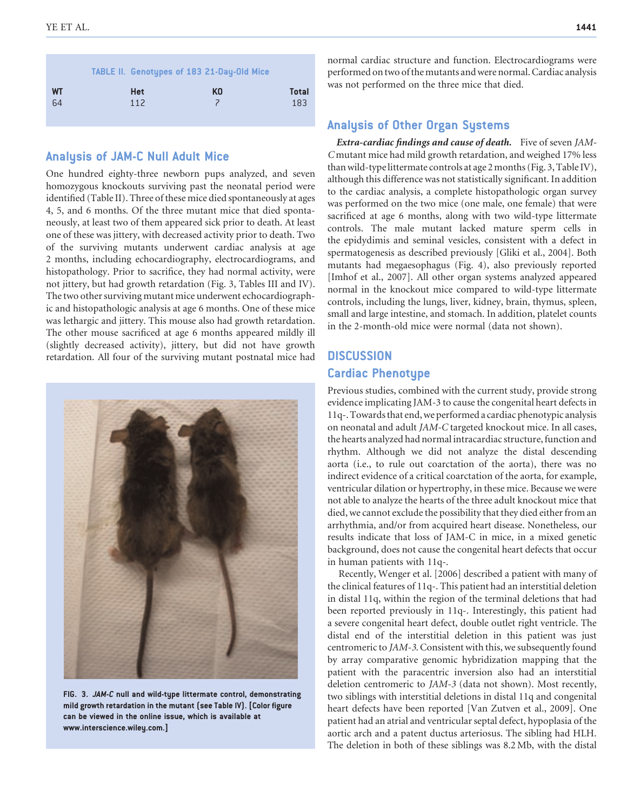|                 |                   | <b>TABLE II. Genotypes of 183 21-Day-Old Mice</b> |              |
|-----------------|-------------------|---------------------------------------------------|--------------|
| <b>WT</b><br>64 | <b>Het</b><br>112 | KO                                                | Total<br>183 |

#### Analysis of JAM-C Null Adult Mice

One hundred eighty-three newborn pups analyzed, and seven homozygous knockouts surviving past the neonatal period were identified (Table II). Three of these mice died spontaneously at ages 4, 5, and 6 months. Of the three mutant mice that died spontaneously, at least two of them appeared sick prior to death. At least one of these was jittery, with decreased activity prior to death. Two of the surviving mutants underwent cardiac analysis at age 2 months, including echocardiography, electrocardiograms, and histopathology. Prior to sacrifice, they had normal activity, were not jittery, but had growth retardation (Fig. 3, Tables III and IV). The two other surviving mutant mice underwent echocardiographic and histopathologic analysis at age 6 months. One of these mice was lethargic and jittery. This mouse also had growth retardation. The other mouse sacrificed at age 6 months appeared mildly ill (slightly decreased activity), jittery, but did not have growth retardation. All four of the surviving mutant postnatal mice had



FIG. 3. JAM-C null and wild-type littermate control, demonstrating mild growth retardation in the mutant (see Table IV). [Color figure can be viewed in the online issue, which is available at www.interscience.wiley.com.]

normal cardiac structure and function. Electrocardiograms were performed ontwo ofthe mutants andwere normal.Cardiac analysis was not performed on the three mice that died.

#### Analysis of Other Organ Systems

Extra-cardiac findings and cause of death. Five of seven JAM-C mutant mice had mild growth retardation, and weighed 17% less thanwild-type littermate controls at age 2 months(Fig. 3,Table IV), although this difference was not statistically significant. In addition to the cardiac analysis, a complete histopathologic organ survey was performed on the two mice (one male, one female) that were sacrificed at age 6 months, along with two wild-type littermate controls. The male mutant lacked mature sperm cells in the epidydimis and seminal vesicles, consistent with a defect in spermatogenesis as described previously [Gliki et al., 2004]. Both mutants had megaesophagus (Fig. 4), also previously reported [Imhof et al., 2007]. All other organ systems analyzed appeared normal in the knockout mice compared to wild-type littermate controls, including the lungs, liver, kidney, brain, thymus, spleen, small and large intestine, and stomach. In addition, platelet counts in the 2-month-old mice were normal (data not shown).

### **DISCUSSION** Cardiac Phenotype

Previous studies, combined with the current study, provide strong evidence implicating JAM-3 to cause the congenital heart defects in 11q-.Towardsthat end,weperformed a cardiac phenotypic analysis on neonatal and adult JAM-C targeted knockout mice. In all cases, the hearts analyzed had normal intracardiac structure, function and rhythm. Although we did not analyze the distal descending aorta (i.e., to rule out coarctation of the aorta), there was no indirect evidence of a critical coarctation of the aorta, for example, ventricular dilation or hypertrophy, in these mice. Because we were not able to analyze the hearts of the three adult knockout mice that died, we cannot exclude the possibility that they died either from an arrhythmia, and/or from acquired heart disease. Nonetheless, our results indicate that loss of JAM-C in mice, in a mixed genetic background, does not cause the congenital heart defects that occur in human patients with 11q-.

Recently, Wenger et al. [2006] described a patient with many of the clinical features of 11q-. This patient had an interstitial deletion in distal 11q, within the region of the terminal deletions that had been reported previously in 11q-. Interestingly, this patient had a severe congenital heart defect, double outlet right ventricle. The distal end of the interstitial deletion in this patient was just centromeric to JAM-3. Consistent with this, we subsequently found by array comparative genomic hybridization mapping that the patient with the paracentric inversion also had an interstitial deletion centromeric to JAM-3 (data not shown). Most recently, two siblings with interstitial deletions in distal 11q and congenital heart defects have been reported [Van Zutven et al., 2009]. One patient had an atrial and ventricularseptal defect, hypoplasia of the aortic arch and a patent ductus arteriosus. The sibling had HLH. The deletion in both of these siblings was 8.2 Mb, with the distal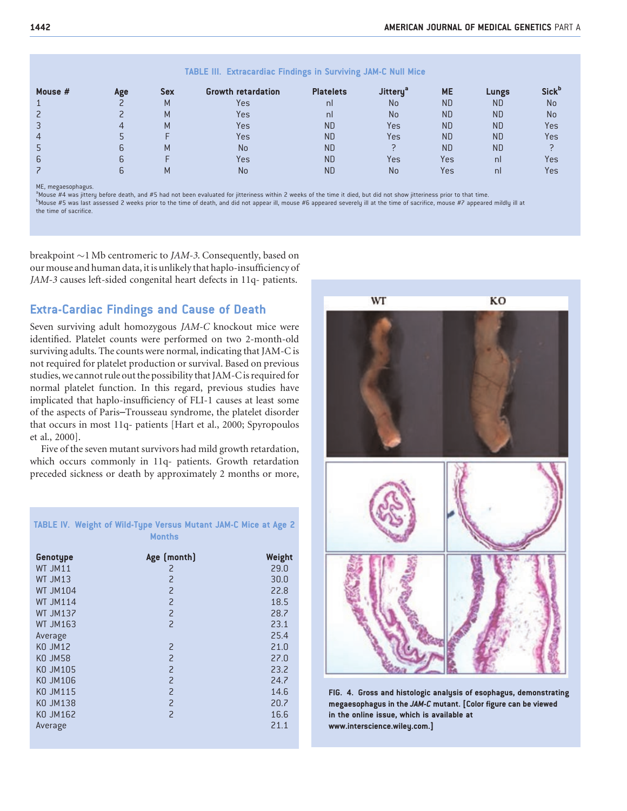| -----          |     |            |                           |                  |                |           |              |                          |
|----------------|-----|------------|---------------------------|------------------|----------------|-----------|--------------|--------------------------|
| Mouse $#$      | Age | <b>Sex</b> | <b>Growth retardation</b> | <b>Platelets</b> | <b>Jittery</b> | <b>ME</b> | <b>Lungs</b> | <b>Sick</b> <sup>D</sup> |
|                |     | M          | Yes                       | nl               | No             | <b>ND</b> | <b>ND</b>    | No                       |
|                |     | M          | Yes                       | nl               | No             | <b>ND</b> | <b>ND</b>    | No                       |
| 3              |     | M          | Yes                       | <b>ND</b>        | Yes            | <b>ND</b> | <b>ND</b>    | Yes                      |
| $\overline{4}$ |     |            | Yes                       | <b>ND</b>        | Yes            | <b>ND</b> | <b>ND</b>    | Yes                      |
|                |     | м          | No                        | <b>ND</b>        |                | <b>ND</b> | <b>ND</b>    |                          |
| 6              |     |            | Yes                       | <b>ND</b>        | Yes            | Yes       | nl           | Yes                      |
|                |     |            | No                        | <b>ND</b>        | No             | Yes       | nl           | Yes                      |

#### TABLE III. Extracardiac Findings in Surviving JAM-C Null Mice

ME, megaesophagus.

<sup>a</sup>Mouse #4 was jittery before death, and #5 had not been evaluated for jitteriness within 2 weeks of the time it died, but did not show jitteriness prior to that time.

b<sub>Mouse</sub> #5 was last assessed 2 weeks prior to the time of death, and did not appear ill, mouse #6 appeared severely ill at the time of sacrifice, mouse #7 appeared mildly ill at the time of sacrifice.

breakpoint  $\sim$ 1 Mb centromeric to JAM-3. Consequently, based on our mouse and human data, it is unlikely that haplo-insufficiency of JAM-3 causes left-sided congenital heart defects in 11q- patients.

#### Extra-Cardiac Findings and Cause of Death

Seven surviving adult homozygous JAM-C knockout mice were identified. Platelet counts were performed on two 2-month-old surviving adults. The counts were normal, indicating that JAM-C is not required for platelet production or survival. Based on previous studies, we cannot rule out the possibility that JAM-C is required for normal platelet function. In this regard, previous studies have implicated that haplo-insufficiency of FLI-1 causes at least some of the aspects of Paris–Trousseau syndrome, the platelet disorder that occurs in most 11q- patients [Hart et al., 2000; Spyropoulos et al., 2000].

Five of the seven mutant survivors had mild growth retardation, which occurs commonly in 11q- patients. Growth retardation preceded sickness or death by approximately 2 months or more,

TABLE IV. Weight of Wild-Type Versus Mutant JAM-C Mice at Age 2

|                 | <b>Months</b>  |        |
|-----------------|----------------|--------|
| Genotype        | Age (month)    | Weight |
| WT JM11         | 2              | 29.0   |
| WT JM13         | $\overline{c}$ | 30.0   |
| <b>WT JM104</b> | $\overline{c}$ | 22.8   |
| <b>WT JM114</b> | $\overline{c}$ | 18.5   |
| <b>WT JM137</b> | $\overline{c}$ | 28.7   |
| <b>WT JM163</b> | $\overline{a}$ | 23.1   |
| Average         |                | 25.4   |
| KO JM12         | $\overline{c}$ | 21.0   |
| KO JM58         | $\overline{c}$ | 27.0   |
| KO JM105        | $\overline{c}$ | 23.2   |
| KO JM106        | $\overline{c}$ | 24.7   |
| <b>KO JM115</b> | $\overline{c}$ | 14.6   |
| KO JM138        | $\overline{c}$ | 20.7   |
| KO JM162        | $\overline{c}$ | 16.6   |
| Average         |                | 21.1   |



FIG. 4. Gross and histologic analysis of esophagus, demonstrating megaesophagus in the JAM-C mutant. [Color figure can be viewed in the online issue, which is available at www.interscience.wiley.com.]